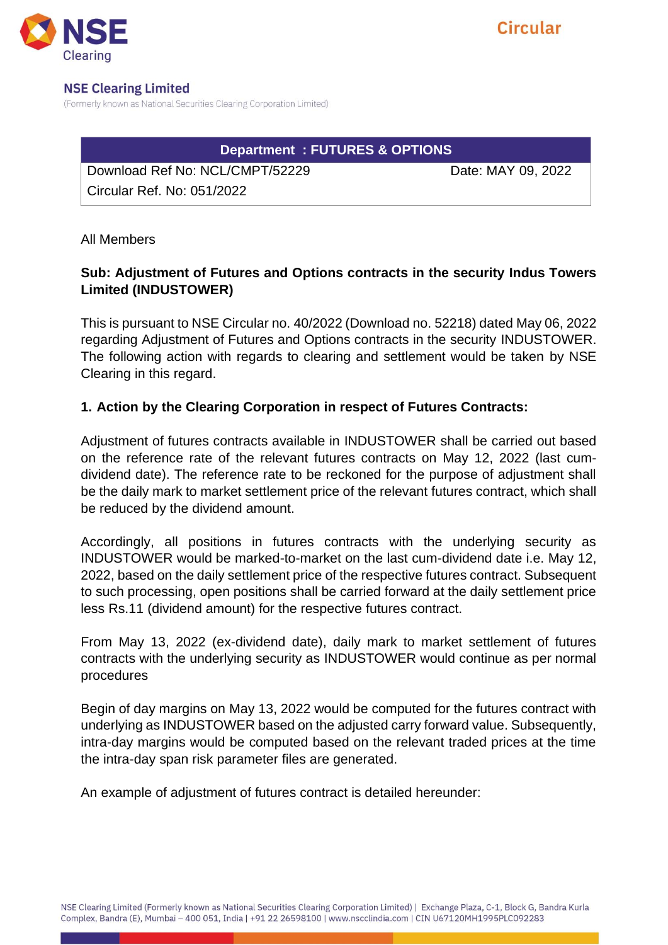

#### **NSE Clearing Limited**

(Formerly known as National Securities Clearing Corporation Limited)

# **Department : FUTURES & OPTIONS**

Download Ref No: NCL/CMPT/52229 Date: MAY 09, 2022 Circular Ref. No: 051/2022

All Members

## **Sub: Adjustment of Futures and Options contracts in the security Indus Towers Limited (INDUSTOWER)**

This is pursuant to NSE Circular no. 40/2022 (Download no. 52218) dated May 06, 2022 regarding Adjustment of Futures and Options contracts in the security INDUSTOWER. The following action with regards to clearing and settlement would be taken by NSE Clearing in this regard.

### **1. Action by the Clearing Corporation in respect of Futures Contracts:**

Adjustment of futures contracts available in INDUSTOWER shall be carried out based on the reference rate of the relevant futures contracts on May 12, 2022 (last cumdividend date). The reference rate to be reckoned for the purpose of adjustment shall be the daily mark to market settlement price of the relevant futures contract, which shall be reduced by the dividend amount.

Accordingly, all positions in futures contracts with the underlying security as INDUSTOWER would be marked-to-market on the last cum-dividend date i.e. May 12, 2022, based on the daily settlement price of the respective futures contract. Subsequent to such processing, open positions shall be carried forward at the daily settlement price less Rs.11 (dividend amount) for the respective futures contract.

From May 13, 2022 (ex-dividend date), daily mark to market settlement of futures contracts with the underlying security as INDUSTOWER would continue as per normal procedures

Begin of day margins on May 13, 2022 would be computed for the futures contract with underlying as INDUSTOWER based on the adjusted carry forward value. Subsequently, intra-day margins would be computed based on the relevant traded prices at the time the intra-day span risk parameter files are generated.

An example of adjustment of futures contract is detailed hereunder: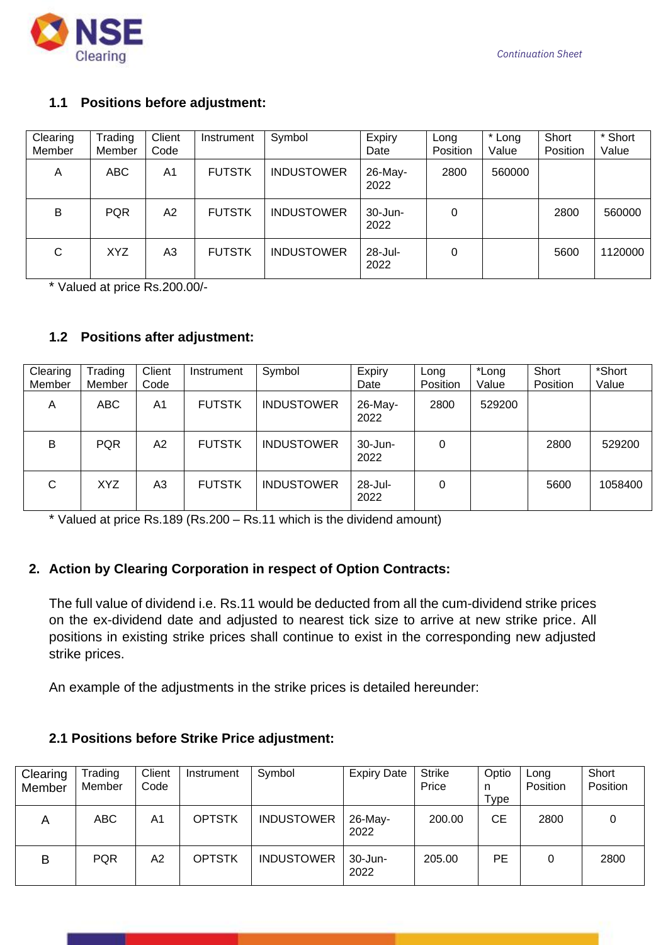

### **1.1 Positions before adjustment:**

| Clearing<br>Member | Trading<br>Member | Client<br>Code | Instrument    | Symbol            | Expiry<br>Date  | Long<br>Position | * Long<br>Value | Short<br>Position | * Short<br>Value |
|--------------------|-------------------|----------------|---------------|-------------------|-----------------|------------------|-----------------|-------------------|------------------|
| A                  | <b>ABC</b>        | A1             | <b>FUTSTK</b> | <b>INDUSTOWER</b> | 26-May-<br>2022 | 2800             | 560000          |                   |                  |
| B                  | <b>PQR</b>        | A2             | <b>FUTSTK</b> | <b>INDUSTOWER</b> | 30-Jun-<br>2022 | 0                |                 | 2800              | 560000           |
| C                  | <b>XYZ</b>        | A3             | <b>FUTSTK</b> | <b>INDUSTOWER</b> | 28-Jul-<br>2022 | 0                |                 | 5600              | 1120000          |

\* Valued at price Rs.200.00/-

## **1.2 Positions after adjustment:**

| Clearing | Trading    | Client         | Instrument    | Symbol            | Expiry              | Long     | *Long  | Short    | *Short  |
|----------|------------|----------------|---------------|-------------------|---------------------|----------|--------|----------|---------|
| Member   | Member     | Code           |               |                   | Date                | Position | Value  | Position | Value   |
| A        | <b>ABC</b> | A <sub>1</sub> | <b>FUTSTK</b> | <b>INDUSTOWER</b> | 26-May-<br>2022     | 2800     | 529200 |          |         |
| B        | <b>PQR</b> | A2             | <b>FUTSTK</b> | <b>INDUSTOWER</b> | 30-Jun-<br>2022     | 0        |        | 2800     | 529200  |
| С        | <b>XYZ</b> | A3             | <b>FUTSTK</b> | <b>INDUSTOWER</b> | $28 -$ Jul-<br>2022 | 0        |        | 5600     | 1058400 |

\* Valued at price Rs.189 (Rs.200 – Rs.11 which is the dividend amount)

### **2. Action by Clearing Corporation in respect of Option Contracts:**

The full value of dividend i.e. Rs.11 would be deducted from all the cum-dividend strike prices on the ex-dividend date and adjusted to nearest tick size to arrive at new strike price. All positions in existing strike prices shall continue to exist in the corresponding new adjusted strike prices.

An example of the adjustments in the strike prices is detailed hereunder:

### **2.1 Positions before Strike Price adjustment:**

| Clearing<br>Member | Trading<br>Member | Client<br>Code | Instrument    | Symbol            | <b>Expiry Date</b> | <b>Strike</b><br>Price | Optio<br>n<br>Type | Long<br>Position | Short<br>Position |
|--------------------|-------------------|----------------|---------------|-------------------|--------------------|------------------------|--------------------|------------------|-------------------|
| Α                  | <b>ABC</b>        | A1             | <b>OPTSTK</b> | <b>INDUSTOWER</b> | 26-May-<br>2022    | 200.00                 | СE                 | 2800             |                   |
| B                  | <b>PQR</b>        | A2             | <b>OPTSTK</b> | <b>INDUSTOWER</b> | 30-Jun-<br>2022    | 205.00                 | PE                 | 0                | 2800              |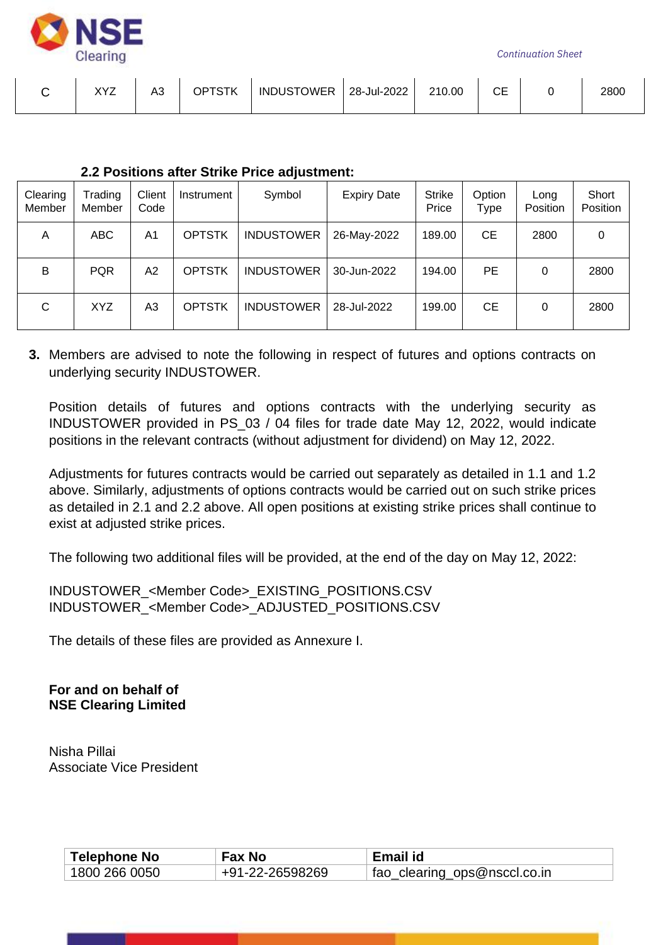

*Continuation Sheet*

| ソソフ | A3 | <b>OPTSTK</b> | <b>INDUSTOWER</b> | 28-Jul-2022 | 210.00 | ∼⊏ | 2800 |
|-----|----|---------------|-------------------|-------------|--------|----|------|
|     |    |               |                   |             |        |    |      |

#### **2.2 Positions after Strike Price adjustment:**

| Clearing<br>Member | Trading<br>Member | Client<br>Code | Instrument    | Symbol            | <b>Expiry Date</b> | <b>Strike</b><br>Price | Option<br>Type | Long<br>Position | Short<br>Position |
|--------------------|-------------------|----------------|---------------|-------------------|--------------------|------------------------|----------------|------------------|-------------------|
| A                  | ABC               | A <sub>1</sub> | <b>OPTSTK</b> | <b>INDUSTOWER</b> | 26-May-2022        | 189.00                 | CЕ             | 2800             | 0                 |
| B                  | <b>PQR</b>        | A2             | <b>OPTSTK</b> | <b>INDUSTOWER</b> | 30-Jun-2022        | 194.00                 | PE             | 0                | 2800              |
| С                  | <b>XYZ</b>        | A3             | <b>OPTSTK</b> | <b>INDUSTOWER</b> | 28-Jul-2022        | 199.00                 | <b>CE</b>      | 0                | 2800              |

**3.** Members are advised to note the following in respect of futures and options contracts on underlying security INDUSTOWER.

Position details of futures and options contracts with the underlying security as INDUSTOWER provided in PS\_03 / 04 files for trade date May 12, 2022, would indicate positions in the relevant contracts (without adjustment for dividend) on May 12, 2022.

Adjustments for futures contracts would be carried out separately as detailed in 1.1 and 1.2 above. Similarly, adjustments of options contracts would be carried out on such strike prices as detailed in 2.1 and 2.2 above. All open positions at existing strike prices shall continue to exist at adjusted strike prices.

The following two additional files will be provided, at the end of the day on May 12, 2022:

INDUSTOWER\_<Member Code>\_EXISTING\_POSITIONS.CSV INDUSTOWER\_<Member Code>\_ADJUSTED\_POSITIONS.CSV

The details of these files are provided as Annexure I.

**For and on behalf of NSE Clearing Limited**

Nisha Pillai Associate Vice President

| <b>Telephone No</b> | <b>Fax No</b>   | Email id                     |
|---------------------|-----------------|------------------------------|
| ່ 1800 266 0050     | +91-22-26598269 | fao_clearing_ops@nsccl.co.in |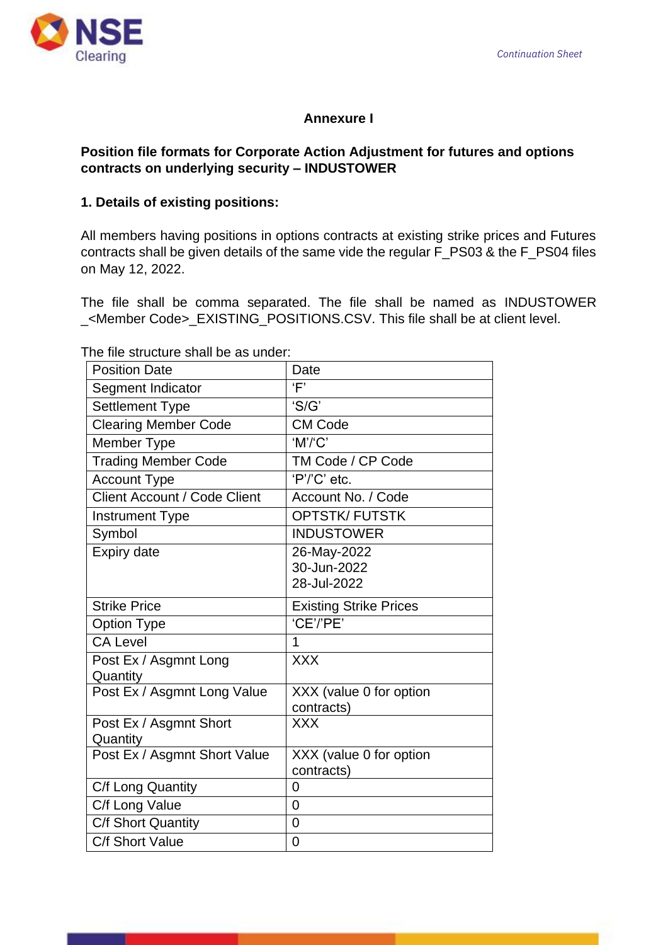

# **Annexure I**

## **Position file formats for Corporate Action Adjustment for futures and options contracts on underlying security – INDUSTOWER**

## **1. Details of existing positions:**

All members having positions in options contracts at existing strike prices and Futures contracts shall be given details of the same vide the regular F\_PS03 & the F\_PS04 files on May 12, 2022.

The file shall be comma separated. The file shall be named as INDUSTOWER \_<Member Code>\_EXISTING\_POSITIONS.CSV. This file shall be at client level.

The file structure shall be as under:

| <b>Position Date</b>                | Date                                  |
|-------------------------------------|---------------------------------------|
| Segment Indicator                   | Ē                                     |
| <b>Settlement Type</b>              | 'S/G'                                 |
| <b>Clearing Member Code</b>         | <b>CM Code</b>                        |
| Member Type                         | 'M'/C'                                |
| <b>Trading Member Code</b>          | TM Code / CP Code                     |
| <b>Account Type</b>                 | 'P'/'C' etc.                          |
| <b>Client Account / Code Client</b> | Account No. / Code                    |
| <b>Instrument Type</b>              | <b>OPTSTK/FUTSTK</b>                  |
| Symbol                              | <b>INDUSTOWER</b>                     |
| Expiry date                         | 26-May-2022                           |
|                                     | 30-Jun-2022                           |
|                                     | 28-Jul-2022                           |
| <b>Strike Price</b>                 | <b>Existing Strike Prices</b>         |
| <b>Option Type</b>                  | 'CE'/'PE'                             |
| <b>CA Level</b>                     | 1                                     |
| Post Ex / Asgmnt Long               | <b>XXX</b>                            |
| Quantity                            |                                       |
| Post Ex / Asgmnt Long Value         | XXX (value 0 for option               |
|                                     | contracts)                            |
| Post Ex / Asgmnt Short              | <b>XXX</b>                            |
| Quantity                            |                                       |
| Post Ex / Asgmnt Short Value        | XXX (value 0 for option<br>contracts) |
| C/f Long Quantity                   | 0                                     |
| C/f Long Value                      | $\overline{0}$                        |
| C/f Short Quantity                  | 0                                     |
| C/f Short Value                     | 0                                     |